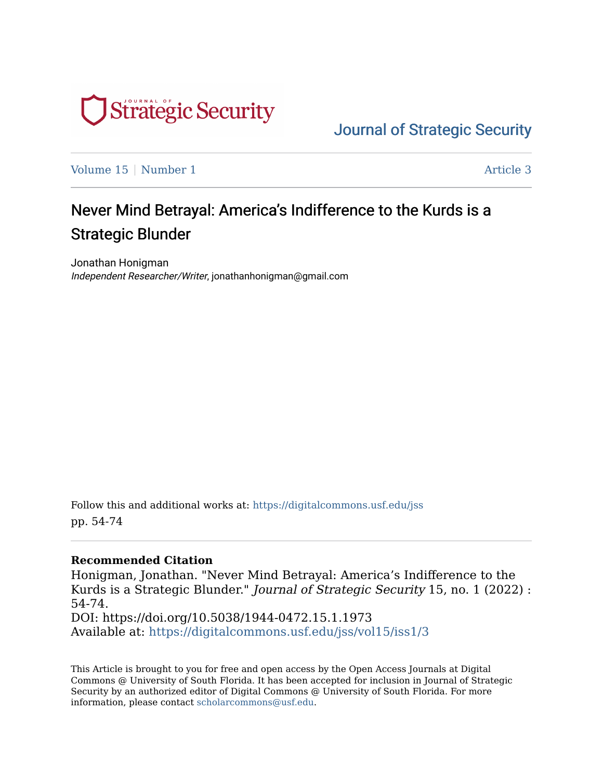

[Journal of Strategic Security](https://digitalcommons.usf.edu/jss) 

[Volume 15](https://digitalcommons.usf.edu/jss/vol15) | [Number 1](https://digitalcommons.usf.edu/jss/vol15/iss1) Article 3

## Never Mind Betrayal: America's Indifference to the Kurds is a Strategic Blunder

Jonathan Honigman Independent Researcher/Writer, jonathanhonigman@gmail.com

Follow this and additional works at: [https://digitalcommons.usf.edu/jss](https://digitalcommons.usf.edu/jss?utm_source=digitalcommons.usf.edu%2Fjss%2Fvol15%2Fiss1%2F3&utm_medium=PDF&utm_campaign=PDFCoverPages) pp. 54-74

#### **Recommended Citation**

Honigman, Jonathan. "Never Mind Betrayal: America's Indifference to the Kurds is a Strategic Blunder." Journal of Strategic Security 15, no. 1 (2022) : 54-74.

DOI: https://doi.org/10.5038/1944-0472.15.1.1973 Available at: [https://digitalcommons.usf.edu/jss/vol15/iss1/3](https://digitalcommons.usf.edu/jss/vol15/iss1/3?utm_source=digitalcommons.usf.edu%2Fjss%2Fvol15%2Fiss1%2F3&utm_medium=PDF&utm_campaign=PDFCoverPages) 

This Article is brought to you for free and open access by the Open Access Journals at Digital Commons @ University of South Florida. It has been accepted for inclusion in Journal of Strategic Security by an authorized editor of Digital Commons @ University of South Florida. For more information, please contact [scholarcommons@usf.edu.](mailto:scholarcommons@usf.edu)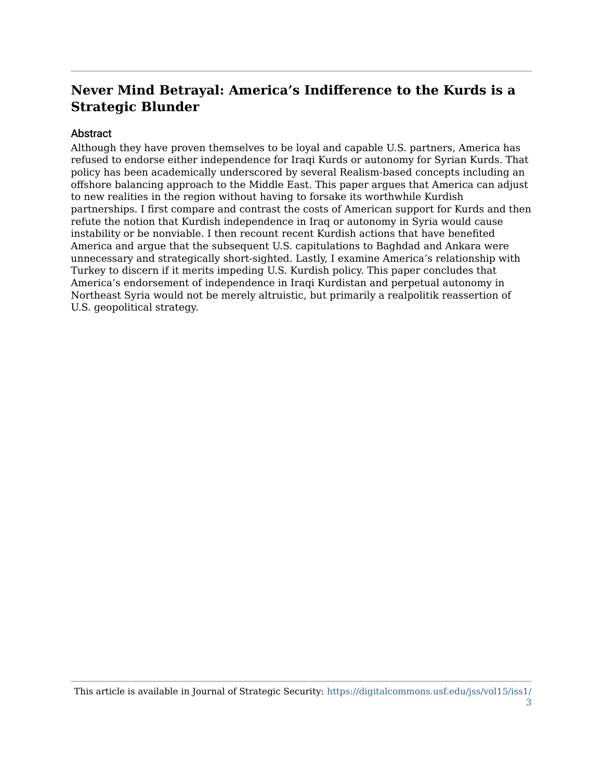### **Never Mind Betrayal: America's Indifference to the Kurds is a Strategic Blunder**

#### **Abstract**

Although they have proven themselves to be loyal and capable U.S. partners, America has refused to endorse either independence for Iraqi Kurds or autonomy for Syrian Kurds. That policy has been academically underscored by several Realism-based concepts including an offshore balancing approach to the Middle East. This paper argues that America can adjust to new realities in the region without having to forsake its worthwhile Kurdish partnerships. I first compare and contrast the costs of American support for Kurds and then refute the notion that Kurdish independence in Iraq or autonomy in Syria would cause instability or be nonviable. I then recount recent Kurdish actions that have benefited America and argue that the subsequent U.S. capitulations to Baghdad and Ankara were unnecessary and strategically short-sighted. Lastly, I examine America's relationship with Turkey to discern if it merits impeding U.S. Kurdish policy. This paper concludes that America's endorsement of independence in Iraqi Kurdistan and perpetual autonomy in Northeast Syria would not be merely altruistic, but primarily a realpolitik reassertion of U.S. geopolitical strategy.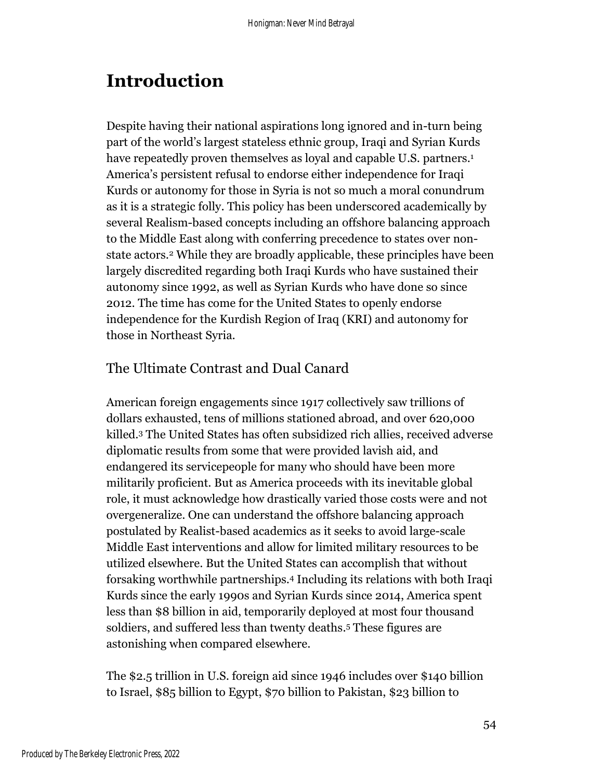# **Introduction**

Despite having their national aspirations long ignored and in-turn being part of the world's largest stateless ethnic group, Iraqi and Syrian Kurds have repeatedly proven themselves as loyal and capable U.S. partners. 1 America's persistent refusal to endorse either independence for Iraqi Kurds or autonomy for those in Syria is not so much a moral conundrum as it is a strategic folly. This policy has been underscored academically by several Realism-based concepts including an offshore balancing approach to the Middle East along with conferring precedence to states over nonstate actors. <sup>2</sup> While they are broadly applicable, these principles have been largely discredited regarding both Iraqi Kurds who have sustained their autonomy since 1992, as well as Syrian Kurds who have done so since 2012. The time has come for the United States to openly endorse independence for the Kurdish Region of Iraq (KRI) and autonomy for those in Northeast Syria.

#### The Ultimate Contrast and Dual Canard

American foreign engagements since 1917 collectively saw trillions of dollars exhausted, tens of millions stationed abroad, and over 620,000 killed. <sup>3</sup> The United States has often subsidized rich allies, received adverse diplomatic results from some that were provided lavish aid, and endangered its servicepeople for many who should have been more militarily proficient. But as America proceeds with its inevitable global role, it must acknowledge how drastically varied those costs were and not overgeneralize. One can understand the offshore balancing approach postulated by Realist-based academics as it seeks to avoid large-scale Middle East interventions and allow for limited military resources to be utilized elsewhere. But the United States can accomplish that without forsaking worthwhile partnerships. <sup>4</sup> Including its relations with both Iraqi Kurds since the early 1990s and Syrian Kurds since 2014, America spent less than \$8 billion in aid, temporarily deployed at most four thousand soldiers, and suffered less than twenty deaths. <sup>5</sup> These figures are astonishing when compared elsewhere.

The \$2.5 trillion in U.S. foreign aid since 1946 includes over \$140 billion to Israel, \$85 billion to Egypt, \$70 billion to Pakistan, \$23 billion to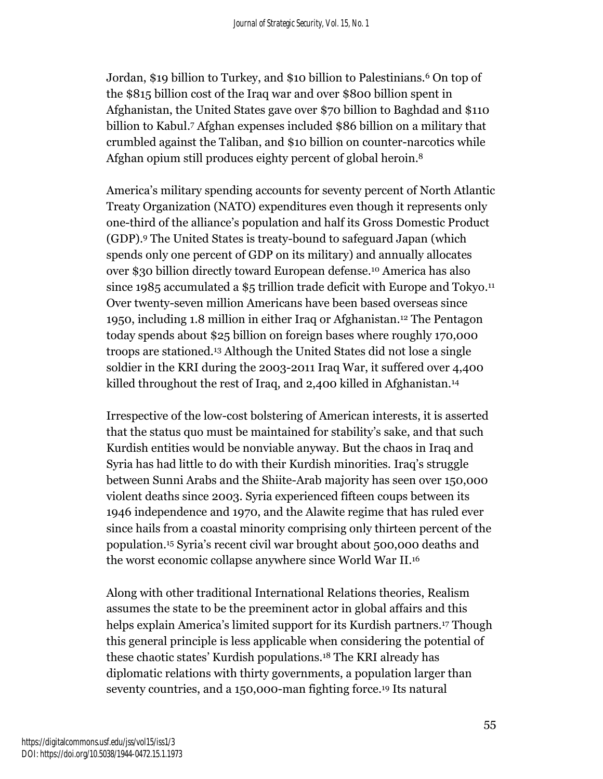Jordan, \$19 billion to Turkey, and \$10 billion to Palestinians. <sup>6</sup> On top of the \$815 billion cost of the Iraq war and over \$800 billion spent in Afghanistan, the United States gave over \$70 billion to Baghdad and \$110 billion to Kabul. <sup>7</sup> Afghan expenses included \$86 billion on a military that crumbled against the Taliban, and \$10 billion on counter-narcotics while Afghan opium still produces eighty percent of global heroin. 8

America's military spending accounts for seventy percent of North Atlantic Treaty Organization (NATO) expenditures even though it represents only one-third of the alliance's population and half its Gross Domestic Product (GDP).<sup>9</sup> The United States is treaty-bound to safeguard Japan (which spends only one percent of GDP on its military) and annually allocates over \$30 billion directly toward European defense. <sup>10</sup> America has also since 1985 accumulated a \$5 trillion trade deficit with Europe and Tokyo. 11 Over twenty-seven million Americans have been based overseas since 1950, including 1.8 million in either Iraq or Afghanistan. <sup>12</sup> The Pentagon today spends about \$25 billion on foreign bases where roughly 170,000 troops are stationed. <sup>13</sup> Although the United States did not lose a single soldier in the KRI during the 2003-2011 Iraq War, it suffered over 4,400 killed throughout the rest of Iraq, and 2,400 killed in Afghanistan. 14

Irrespective of the low-cost bolstering of American interests, it is asserted that the status quo must be maintained for stability's sake, and that such Kurdish entities would be nonviable anyway. But the chaos in Iraq and Syria has had little to do with their Kurdish minorities. Iraq's struggle between Sunni Arabs and the Shiite-Arab majority has seen over 150,000 violent deaths since 2003. Syria experienced fifteen coups between its 1946 independence and 1970, and the Alawite regime that has ruled ever since hails from a coastal minority comprising only thirteen percent of the population. <sup>15</sup> Syria's recent civil war brought about 500,000 deaths and the worst economic collapse anywhere since World War II. 16

Along with other traditional International Relations theories, Realism assumes the state to be the preeminent actor in global affairs and this helps explain America's limited support for its Kurdish partners. <sup>17</sup> Though this general principle is less applicable when considering the potential of these chaotic states' Kurdish populations. <sup>18</sup> The KRI already has diplomatic relations with thirty governments, a population larger than seventy countries, and a 150,000-man fighting force. <sup>19</sup> Its natural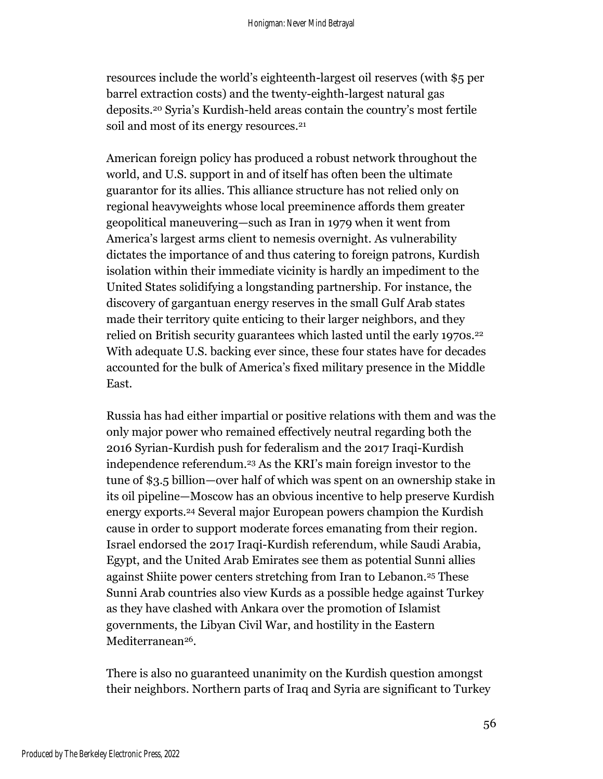resources include the world's eighteenth-largest oil reserves (with \$5 per barrel extraction costs) and the twenty-eighth-largest natural gas deposits. <sup>20</sup> Syria's Kurdish-held areas contain the country's most fertile soil and most of its energy resources. 21

American foreign policy has produced a robust network throughout the world, and U.S. support in and of itself has often been the ultimate guarantor for its allies. This alliance structure has not relied only on regional heavyweights whose local preeminence affords them greater geopolitical maneuvering—such as Iran in 1979 when it went from America's largest arms client to nemesis overnight. As vulnerability dictates the importance of and thus catering to foreign patrons, Kurdish isolation within their immediate vicinity is hardly an impediment to the United States solidifying a longstanding partnership. For instance, the discovery of gargantuan energy reserves in the small Gulf Arab states made their territory quite enticing to their larger neighbors, and they relied on British security guarantees which lasted until the early 1970s. 22 With adequate U.S. backing ever since, these four states have for decades accounted for the bulk of America's fixed military presence in the Middle East.

Russia has had either impartial or positive relations with them and was the only major power who remained effectively neutral regarding both the 2016 Syrian-Kurdish push for federalism and the 2017 Iraqi-Kurdish independence referendum. <sup>23</sup> As the KRI's main foreign investor to the tune of \$3.5 billion—over half of which was spent on an ownership stake in its oil pipeline—Moscow has an obvious incentive to help preserve Kurdish energy exports. <sup>24</sup> Several major European powers champion the Kurdish cause in order to support moderate forces emanating from their region. Israel endorsed the 2017 Iraqi-Kurdish referendum, while Saudi Arabia, Egypt, and the United Arab Emirates see them as potential Sunni allies against Shiite power centers stretching from Iran to Lebanon.<sup>25</sup> These Sunni Arab countries also view Kurds as a possible hedge against Turkey as they have clashed with Ankara over the promotion of Islamist governments, the Libyan Civil War, and hostility in the Eastern Mediterranean26.

There is also no guaranteed unanimity on the Kurdish question amongst their neighbors. Northern parts of Iraq and Syria are significant to Turkey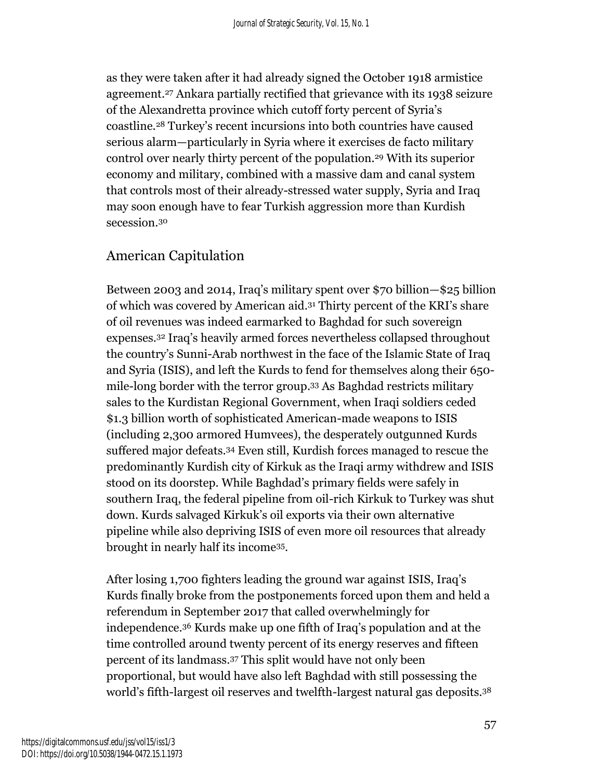as they were taken after it had already signed the October 1918 armistice agreement. <sup>27</sup> Ankara partially rectified that grievance with its 1938 seizure of the Alexandretta province which cutoff forty percent of Syria's coastline. <sup>28</sup> Turkey's recent incursions into both countries have caused serious alarm—particularly in Syria where it exercises de facto military control over nearly thirty percent of the population. <sup>29</sup> With its superior economy and military, combined with a massive dam and canal system that controls most of their already-stressed water supply, Syria and Iraq may soon enough have to fear Turkish aggression more than Kurdish secession. 30

#### American Capitulation

Between 2003 and 2014, Iraq's military spent over \$70 billion—\$25 billion of which was covered by American aid. <sup>31</sup> Thirty percent of the KRI's share of oil revenues was indeed earmarked to Baghdad for such sovereign expenses.<sup>32</sup> Iraq's heavily armed forces nevertheless collapsed throughout the country's Sunni-Arab northwest in the face of the Islamic State of Iraq and Syria (ISIS), and left the Kurds to fend for themselves along their 650 mile-long border with the terror group. <sup>33</sup> As Baghdad restricts military sales to the Kurdistan Regional Government, when Iraqi soldiers ceded \$1.3 billion worth of sophisticated American-made weapons to ISIS (including 2,300 armored Humvees), the desperately outgunned Kurds suffered major defeats. <sup>34</sup> Even still, Kurdish forces managed to rescue the predominantly Kurdish city of Kirkuk as the Iraqi army withdrew and ISIS stood on its doorstep. While Baghdad's primary fields were safely in southern Iraq, the federal pipeline from oil-rich Kirkuk to Turkey was shut down. Kurds salvaged Kirkuk's oil exports via their own alternative pipeline while also depriving ISIS of even more oil resources that already brought in nearly half its income35.

After losing 1,700 fighters leading the ground war against ISIS, Iraq's Kurds finally broke from the postponements forced upon them and held a referendum in September 2017 that called overwhelmingly for independence. <sup>36</sup> Kurds make up one fifth of Iraq's population and at the time controlled around twenty percent of its energy reserves and fifteen percent of its landmass. <sup>37</sup> This split would have not only been proportional, but would have also left Baghdad with still possessing the world's fifth-largest oil reserves and twelfth-largest natural gas deposits.<sup>38</sup>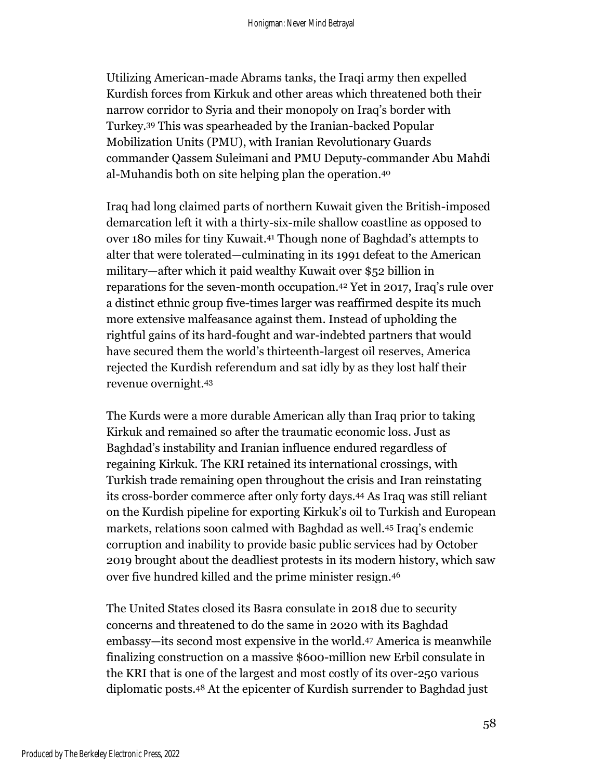Utilizing American-made Abrams tanks, the Iraqi army then expelled Kurdish forces from Kirkuk and other areas which threatened both their narrow corridor to Syria and their monopoly on Iraq's border with Turkey.<sup>39</sup> This was spearheaded by the Iranian-backed Popular Mobilization Units (PMU), with Iranian Revolutionary Guards commander Qassem Suleimani and PMU Deputy-commander Abu Mahdi al-Muhandis both on site helping plan the operation. 40

Iraq had long claimed parts of northern Kuwait given the British-imposed demarcation left it with a thirty-six-mile shallow coastline as opposed to over 180 miles for tiny Kuwait. <sup>41</sup> Though none of Baghdad's attempts to alter that were tolerated—culminating in its 1991 defeat to the American military—after which it paid wealthy Kuwait over \$52 billion in reparations for the seven-month occupation. <sup>42</sup> Yet in 2017, Iraq's rule over a distinct ethnic group five-times larger was reaffirmed despite its much more extensive malfeasance against them. Instead of upholding the rightful gains of its hard-fought and war-indebted partners that would have secured them the world's thirteenth-largest oil reserves, America rejected the Kurdish referendum and sat idly by as they lost half their revenue overnight. 43

The Kurds were a more durable American ally than Iraq prior to taking Kirkuk and remained so after the traumatic economic loss. Just as Baghdad's instability and Iranian influence endured regardless of regaining Kirkuk. The KRI retained its international crossings, with Turkish trade remaining open throughout the crisis and Iran reinstating its cross-border commerce after only forty days. <sup>44</sup> As Iraq was still reliant on the Kurdish pipeline for exporting Kirkuk's oil to Turkish and European markets, relations soon calmed with Baghdad as well. <sup>45</sup> Iraq's endemic corruption and inability to provide basic public services had by October 2019 brought about the deadliest protests in its modern history, which saw over five hundred killed and the prime minister resign. 46

The United States closed its Basra consulate in 2018 due to security concerns and threatened to do the same in 2020 with its Baghdad embassy—its second most expensive in the world. <sup>47</sup> America is meanwhile finalizing construction on a massive \$600-million new Erbil consulate in the KRI that is one of the largest and most costly of its over-250 various diplomatic posts. <sup>48</sup> At the epicenter of Kurdish surrender to Baghdad just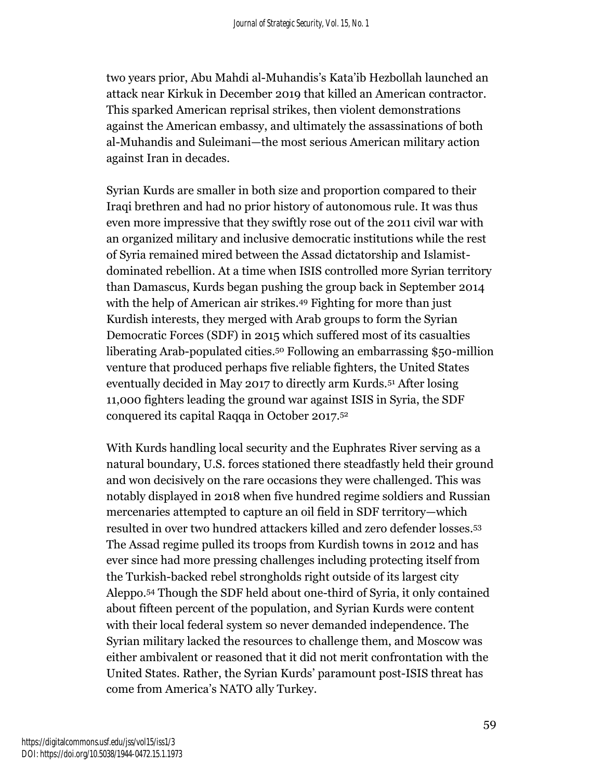two years prior, Abu Mahdi al-Muhandis's Kata'ib Hezbollah launched an attack near Kirkuk in December 2019 that killed an American contractor. This sparked American reprisal strikes, then violent demonstrations against the American embassy, and ultimately the assassinations of both al-Muhandis and Suleimani—the most serious American military action against Iran in decades.

Syrian Kurds are smaller in both size and proportion compared to their Iraqi brethren and had no prior history of autonomous rule. It was thus even more impressive that they swiftly rose out of the 2011 civil war with an organized military and inclusive democratic institutions while the rest of Syria remained mired between the Assad dictatorship and Islamistdominated rebellion. At a time when ISIS controlled more Syrian territory than Damascus, Kurds began pushing the group back in September 2014 with the help of American air strikes. <sup>49</sup> Fighting for more than just Kurdish interests, they merged with Arab groups to form the Syrian Democratic Forces (SDF) in 2015 which suffered most of its casualties liberating Arab-populated cities. <sup>50</sup> Following an embarrassing \$50-million venture that produced perhaps five reliable fighters, the United States eventually decided in May 2017 to directly arm Kurds.<sup>51</sup> After losing 11,000 fighters leading the ground war against ISIS in Syria, the SDF conquered its capital Raqqa in October 2017. 52

With Kurds handling local security and the Euphrates River serving as a natural boundary, U.S. forces stationed there steadfastly held their ground and won decisively on the rare occasions they were challenged. This was notably displayed in 2018 when five hundred regime soldiers and Russian mercenaries attempted to capture an oil field in SDF territory—which resulted in over two hundred attackers killed and zero defender losses. 53 The Assad regime pulled its troops from Kurdish towns in 2012 and has ever since had more pressing challenges including protecting itself from the Turkish-backed rebel strongholds right outside of its largest city Aleppo. <sup>54</sup> Though the SDF held about one-third of Syria, it only contained about fifteen percent of the population, and Syrian Kurds were content with their local federal system so never demanded independence. The Syrian military lacked the resources to challenge them, and Moscow was either ambivalent or reasoned that it did not merit confrontation with the United States. Rather, the Syrian Kurds' paramount post-ISIS threat has come from America's NATO ally Turkey.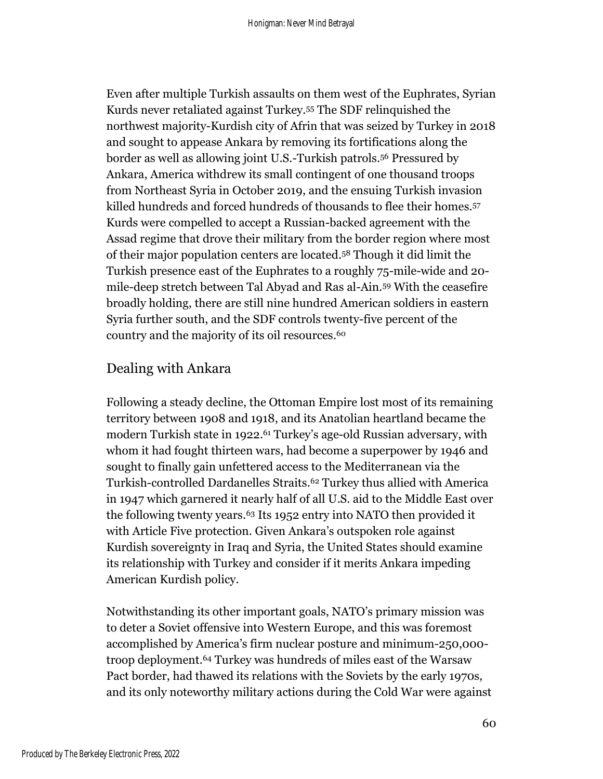Even after multiple Turkish assaults on them west of the Euphrates, Syrian Kurds never retaliated against Turkey.<sup>55</sup> The SDF relinquished the northwest majority-Kurdish city of Afrin that was seized by Turkey in 2018 and sought to appease Ankara by removing its fortifications along the border as well as allowing joint U.S.-Turkish patrols. <sup>56</sup> Pressured by Ankara, America withdrew its small contingent of one thousand troops from Northeast Syria in October 2019, and the ensuing Turkish invasion killed hundreds and forced hundreds of thousands to flee their homes. 57 Kurds were compelled to accept a Russian-backed agreement with the Assad regime that drove their military from the border region where most of their major population centers are located. <sup>58</sup> Though it did limit the Turkish presence east of the Euphrates to a roughly 75-mile-wide and 20 mile-deep stretch between Tal Abyad and Ras al-Ain. <sup>59</sup> With the ceasefire broadly holding, there are still nine hundred American soldiers in eastern Syria further south, and the SDF controls twenty-five percent of the country and the majority of its oil resources. 60

#### Dealing with Ankara

Following a steady decline, the Ottoman Empire lost most of its remaining territory between 1908 and 1918, and its Anatolian heartland became the modern Turkish state in 1922.<sup>61</sup> Turkey's age-old Russian adversary, with whom it had fought thirteen wars, had become a superpower by 1946 and sought to finally gain unfettered access to the Mediterranean via the Turkish-controlled Dardanelles Straits. <sup>62</sup> Turkey thus allied with America in 1947 which garnered it nearly half of all U.S. aid to the Middle East over the following twenty years. <sup>63</sup> Its 1952 entry into NATO then provided it with Article Five protection. Given Ankara's outspoken role against Kurdish sovereignty in Iraq and Syria, the United States should examine its relationship with Turkey and consider if it merits Ankara impeding American Kurdish policy.

Notwithstanding its other important goals, NATO's primary mission was to deter a Soviet offensive into Western Europe, and this was foremost accomplished by America's firm nuclear posture and minimum-250,000 troop deployment. <sup>64</sup> Turkey was hundreds of miles east of the Warsaw Pact border, had thawed its relations with the Soviets by the early 1970s, and its only noteworthy military actions during the Cold War were against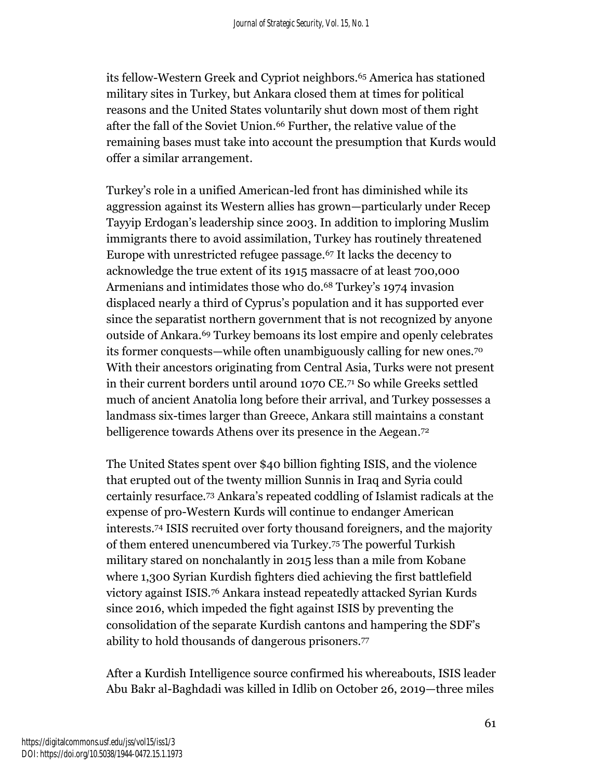its fellow-Western Greek and Cypriot neighbors. <sup>65</sup> America has stationed military sites in Turkey, but Ankara closed them at times for political reasons and the United States voluntarily shut down most of them right after the fall of the Soviet Union. <sup>66</sup> Further, the relative value of the remaining bases must take into account the presumption that Kurds would offer a similar arrangement.

Turkey's role in a unified American-led front has diminished while its aggression against its Western allies has grown—particularly under Recep Tayyip Erdogan's leadership since 2003. In addition to imploring Muslim immigrants there to avoid assimilation, Turkey has routinely threatened Europe with unrestricted refugee passage. <sup>67</sup> It lacks the decency to acknowledge the true extent of its 1915 massacre of at least 700,000 Armenians and intimidates those who do. <sup>68</sup> Turkey's 1974 invasion displaced nearly a third of Cyprus's population and it has supported ever since the separatist northern government that is not recognized by anyone outside of Ankara.<sup>69</sup> Turkey bemoans its lost empire and openly celebrates its former conquests—while often unambiguously calling for new ones.<sup>70</sup> With their ancestors originating from Central Asia, Turks were not present in their current borders until around 1070 CE. <sup>71</sup> So while Greeks settled much of ancient Anatolia long before their arrival, and Turkey possesses a landmass six-times larger than Greece, Ankara still maintains a constant belligerence towards Athens over its presence in the Aegean.<sup>72</sup>

The United States spent over \$40 billion fighting ISIS, and the violence that erupted out of the twenty million Sunnis in Iraq and Syria could certainly resurface.<sup>73</sup> Ankara's repeated coddling of Islamist radicals at the expense of pro-Western Kurds will continue to endanger American interests.<sup>74</sup> ISIS recruited over forty thousand foreigners, and the majority of them entered unencumbered via Turkey. <sup>75</sup> The powerful Turkish military stared on nonchalantly in 2015 less than a mile from Kobane where 1,300 Syrian Kurdish fighters died achieving the first battlefield victory against ISIS. <sup>76</sup> Ankara instead repeatedly attacked Syrian Kurds since 2016, which impeded the fight against ISIS by preventing the consolidation of the separate Kurdish cantons and hampering the SDF's ability to hold thousands of dangerous prisoners.<sup>77</sup>

After a Kurdish Intelligence source confirmed his whereabouts, ISIS leader Abu Bakr al-Baghdadi was killed in Idlib on October 26, 2019—three miles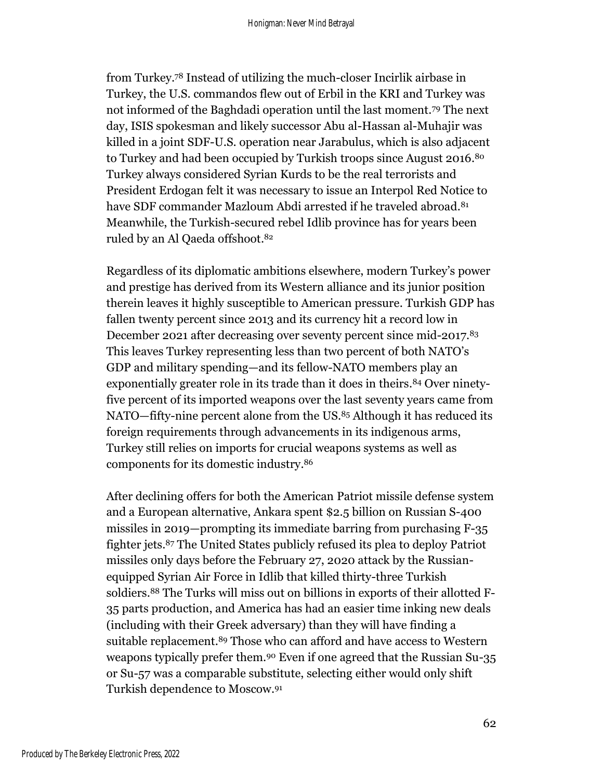from Turkey. <sup>78</sup> Instead of utilizing the much-closer Incirlik airbase in Turkey, the U.S. commandos flew out of Erbil in the KRI and Turkey was not informed of the Baghdadi operation until the last moment.<sup>79</sup> The next day, ISIS spokesman and likely successor Abu al-Hassan al-Muhajir was killed in a joint SDF-U.S. operation near Jarabulus, which is also adjacent to Turkey and had been occupied by Turkish troops since August 2016.<sup>80</sup> Turkey always considered Syrian Kurds to be the real terrorists and President Erdogan felt it was necessary to issue an Interpol Red Notice to have SDF commander Mazloum Abdi arrested if he traveled abroad. 81 Meanwhile, the Turkish-secured rebel Idlib province has for years been ruled by an Al Qaeda offshoot. 82

Regardless of its diplomatic ambitions elsewhere, modern Turkey's power and prestige has derived from its Western alliance and its junior position therein leaves it highly susceptible to American pressure. Turkish GDP has fallen twenty percent since 2013 and its currency hit a record low in December 2021 after decreasing over seventy percent since mid-2017. 83 This leaves Turkey representing less than two percent of both NATO's GDP and military spending—and its fellow-NATO members play an exponentially greater role in its trade than it does in theirs. <sup>84</sup> Over ninetyfive percent of its imported weapons over the last seventy years came from NATO—fifty-nine percent alone from the US. <sup>85</sup> Although it has reduced its foreign requirements through advancements in its indigenous arms, Turkey still relies on imports for crucial weapons systems as well as components for its domestic industry. 86

After declining offers for both the American Patriot missile defense system and a European alternative, Ankara spent \$2.5 billion on Russian S-400 missiles in 2019—prompting its immediate barring from purchasing F-35 fighter jets. <sup>87</sup> The United States publicly refused its plea to deploy Patriot missiles only days before the February 27, 2020 attack by the Russianequipped Syrian Air Force in Idlib that killed thirty-three Turkish soldiers. <sup>88</sup> The Turks will miss out on billions in exports of their allotted F-35 parts production, and America has had an easier time inking new deals (including with their Greek adversary) than they will have finding a suitable replacement. <sup>89</sup> Those who can afford and have access to Western weapons typically prefer them. <sup>90</sup> Even if one agreed that the Russian Su-35 or Su-57 was a comparable substitute, selecting either would only shift Turkish dependence to Moscow. 91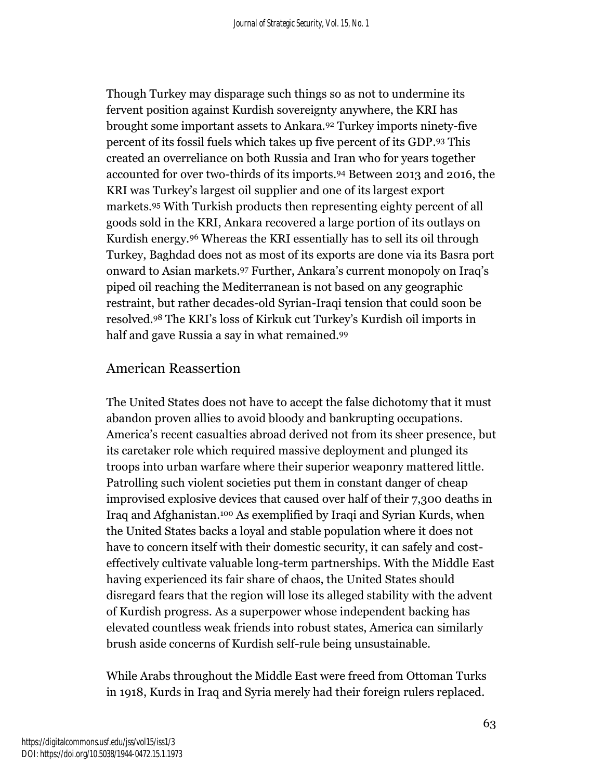Though Turkey may disparage such things so as not to undermine its fervent position against Kurdish sovereignty anywhere, the KRI has brought some important assets to Ankara. <sup>92</sup> Turkey imports ninety-five percent of its fossil fuels which takes up five percent of its GDP. <sup>93</sup> This created an overreliance on both Russia and Iran who for years together accounted for over two-thirds of its imports. <sup>94</sup> Between 2013 and 2016, the KRI was Turkey's largest oil supplier and one of its largest export markets.<sup>95</sup> With Turkish products then representing eighty percent of all goods sold in the KRI, Ankara recovered a large portion of its outlays on Kurdish energy. <sup>96</sup> Whereas the KRI essentially has to sell its oil through Turkey, Baghdad does not as most of its exports are done via its Basra port onward to Asian markets. <sup>97</sup> Further, Ankara's current monopoly on Iraq's piped oil reaching the Mediterranean is not based on any geographic restraint, but rather decades-old Syrian-Iraqi tension that could soon be resolved.<sup>98</sup> The KRI's loss of Kirkuk cut Turkey's Kurdish oil imports in half and gave Russia a say in what remained. 99

#### American Reassertion

The United States does not have to accept the false dichotomy that it must abandon proven allies to avoid bloody and bankrupting occupations. America's recent casualties abroad derived not from its sheer presence, but its caretaker role which required massive deployment and plunged its troops into urban warfare where their superior weaponry mattered little. Patrolling such violent societies put them in constant danger of cheap improvised explosive devices that caused over half of their 7,300 deaths in Iraq and Afghanistan. <sup>100</sup> As exemplified by Iraqi and Syrian Kurds, when the United States backs a loyal and stable population where it does not have to concern itself with their domestic security, it can safely and costeffectively cultivate valuable long-term partnerships. With the Middle East having experienced its fair share of chaos, the United States should disregard fears that the region will lose its alleged stability with the advent of Kurdish progress. As a superpower whose independent backing has elevated countless weak friends into robust states, America can similarly brush aside concerns of Kurdish self-rule being unsustainable.

While Arabs throughout the Middle East were freed from Ottoman Turks in 1918, Kurds in Iraq and Syria merely had their foreign rulers replaced.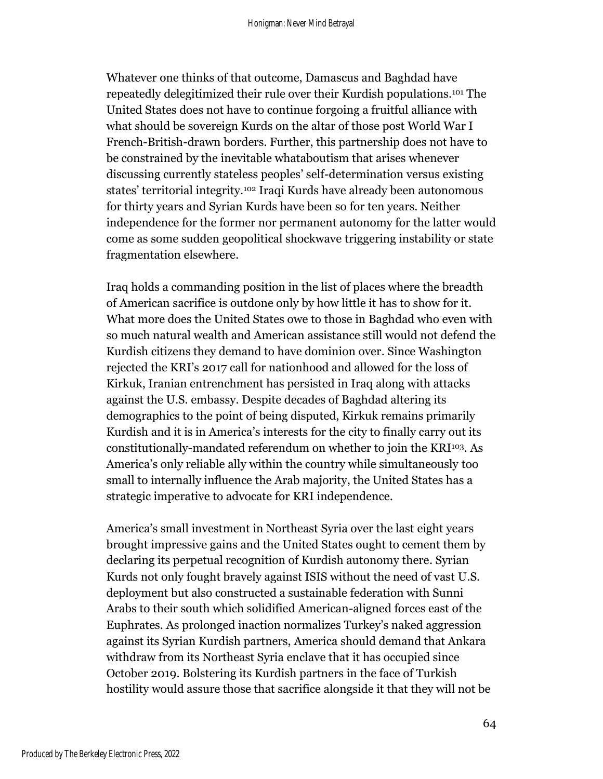Whatever one thinks of that outcome, Damascus and Baghdad have repeatedly delegitimized their rule over their Kurdish populations. <sup>101</sup> The United States does not have to continue forgoing a fruitful alliance with what should be sovereign Kurds on the altar of those post World War I French-British-drawn borders. Further, this partnership does not have to be constrained by the inevitable whataboutism that arises whenever discussing currently stateless peoples' self-determination versus existing states' territorial integrity. <sup>102</sup> Iraqi Kurds have already been autonomous for thirty years and Syrian Kurds have been so for ten years. Neither independence for the former nor permanent autonomy for the latter would come as some sudden geopolitical shockwave triggering instability or state fragmentation elsewhere.

Iraq holds a commanding position in the list of places where the breadth of American sacrifice is outdone only by how little it has to show for it. What more does the United States owe to those in Baghdad who even with so much natural wealth and American assistance still would not defend the Kurdish citizens they demand to have dominion over. Since Washington rejected the KRI's 2017 call for nationhood and allowed for the loss of Kirkuk, Iranian entrenchment has persisted in Iraq along with attacks against the U.S. embassy. Despite decades of Baghdad altering its demographics to the point of being disputed, Kirkuk remains primarily Kurdish and it is in America's interests for the city to finally carry out its constitutionally-mandated referendum on whether to join the KRI <sup>103</sup>. As America's only reliable ally within the country while simultaneously too small to internally influence the Arab majority, the United States has a strategic imperative to advocate for KRI independence.

America's small investment in Northeast Syria over the last eight years brought impressive gains and the United States ought to cement them by declaring its perpetual recognition of Kurdish autonomy there. Syrian Kurds not only fought bravely against ISIS without the need of vast U.S. deployment but also constructed a sustainable federation with Sunni Arabs to their south which solidified American-aligned forces east of the Euphrates. As prolonged inaction normalizes Turkey's naked aggression against its Syrian Kurdish partners, America should demand that Ankara withdraw from its Northeast Syria enclave that it has occupied since October 2019. Bolstering its Kurdish partners in the face of Turkish hostility would assure those that sacrifice alongside it that they will not be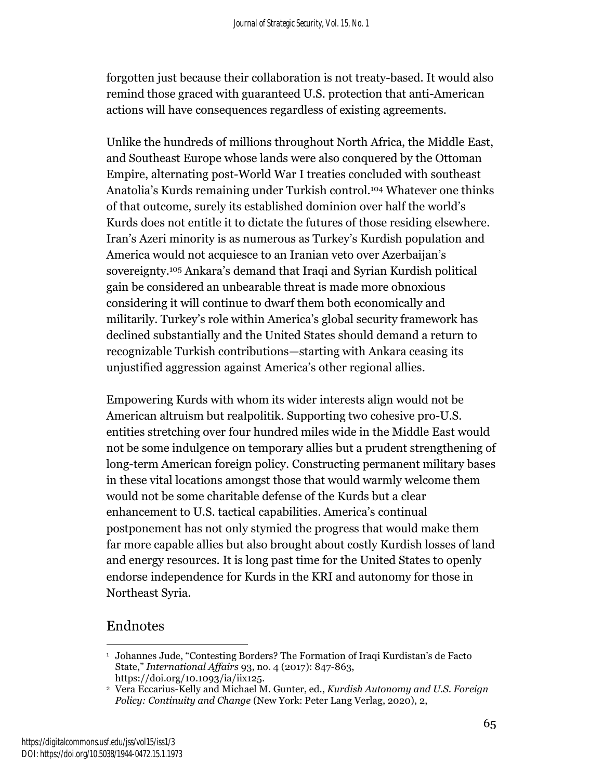forgotten just because their collaboration is not treaty-based. It would also remind those graced with guaranteed U.S. protection that anti-American actions will have consequences regardless of existing agreements.

Unlike the hundreds of millions throughout North Africa, the Middle East, and Southeast Europe whose lands were also conquered by the Ottoman Empire, alternating post-World War I treaties concluded with southeast Anatolia's Kurds remaining under Turkish control. <sup>104</sup> Whatever one thinks of that outcome, surely its established dominion over half the world's Kurds does not entitle it to dictate the futures of those residing elsewhere. Iran's Azeri minority is as numerous as Turkey's Kurdish population and America would not acquiesce to an Iranian veto over Azerbaijan's sovereignty. <sup>105</sup> Ankara's demand that Iraqi and Syrian Kurdish political gain be considered an unbearable threat is made more obnoxious considering it will continue to dwarf them both economically and militarily. Turkey's role within America's global security framework has declined substantially and the United States should demand a return to recognizable Turkish contributions—starting with Ankara ceasing its unjustified aggression against America's other regional allies.

Empowering Kurds with whom its wider interests align would not be American altruism but realpolitik. Supporting two cohesive pro-U.S. entities stretching over four hundred miles wide in the Middle East would not be some indulgence on temporary allies but a prudent strengthening of long-term American foreign policy. Constructing permanent military bases in these vital locations amongst those that would warmly welcome them would not be some charitable defense of the Kurds but a clear enhancement to U.S. tactical capabilities. America's continual postponement has not only stymied the progress that would make them far more capable allies but also brought about costly Kurdish losses of land and energy resources. It is long past time for the United States to openly endorse independence for Kurds in the KRI and autonomy for those in Northeast Syria.

## Endnotes

<sup>&</sup>lt;sup>1</sup> Johannes Jude, "Contesting Borders? The Formation of Iraqi Kurdistan's de Facto State," *International Affairs* 93, no. 4 (2017): 847-863, https://doi.org/10.1093/ia/iix125.

<sup>2</sup> Vera Eccarius-Kelly and Michael M. Gunter, ed., *Kurdish Autonomy and U.S. Foreign Policy: Continuity and Change* (New York: Peter Lang Verlag, 2020), 2,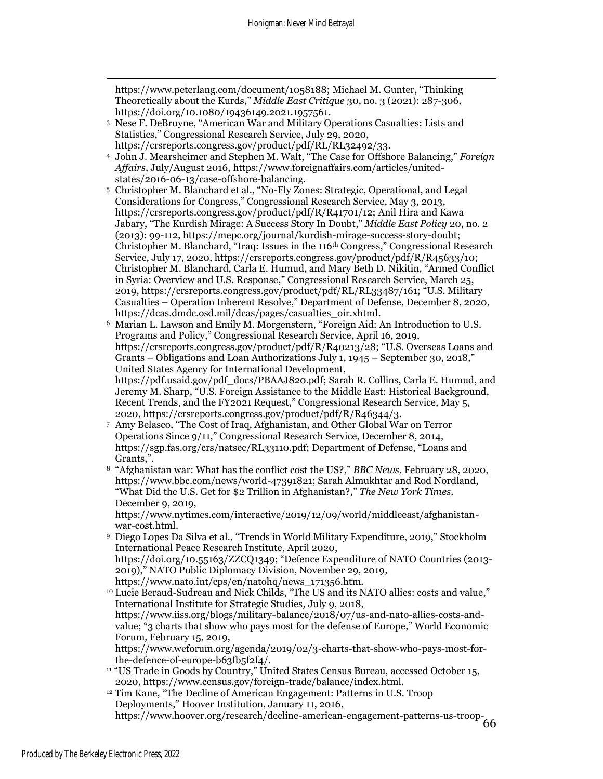https://www.peterlang.com/document/1058188; Michael M. Gunter, "Thinking Theoretically about the Kurds," *Middle East Critique* 30, no. 3 (2021): 287-306, https://doi.org/10.1080/19436149.2021.1957561.

- <sup>3</sup> Nese F. DeBruyne, "American War and Military Operations Casualties: Lists and Statistics," Congressional Research Service*,* July 29, 2020, https://crsreports.congress.gov/product/pdf/RL/RL32492/33.
- <sup>4</sup> John J. Mearsheimer and Stephen M. Walt, "The Case for Offshore Balancing," *Foreign Affairs*, July/August 2016, https://www.foreignaffairs.com/articles/unitedstates/2016-06-13/case-offshore-balancing.
- <sup>5</sup> Christopher M. Blanchard et al., "No-Fly Zones: Strategic, Operational, and Legal Considerations for Congress," Congressional Research Service, May 3, 2013, https://crsreports.congress.gov/product/pdf/R/R41701/12; Anil Hira and Kawa Jabary, "The Kurdish Mirage: A Success Story In Doubt," *Middle East Policy* 20, no. 2 (2013): 99-112, https://mepc.org/journal/kurdish-mirage-success-story-doubt; Christopher M. Blanchard, "Iraq: Issues in the 116th Congress," Congressional Research Service*,* July 17, 2020, https://crsreports.congress.gov/product/pdf/R/R45633/10; Christopher M. Blanchard, Carla E. Humud, and Mary Beth D. Nikitin, "Armed Conflict in Syria: Overview and U.S. Response," Congressional Research Service, March 25, 2019, https://crsreports.congress.gov/product/pdf/RL/RL33487/161; "U.S. Military Casualties – Operation Inherent Resolve," Department of Defense, December 8, 2020, https://dcas.dmdc.osd.mil/dcas/pages/casualties\_oir.xhtml.
- <sup>6</sup> Marian L. Lawson and Emily M. Morgenstern, "Foreign Aid: An Introduction to U.S. Programs and Policy," Congressional Research Service, April 16, 2019, https://crsreports.congress.gov/product/pdf/R/R40213/28; "U.S. Overseas Loans and Grants – Obligations and Loan Authorizations July 1, 1945 – September 30, 2018," United States Agency for International Development, https://pdf.usaid.gov/pdf\_docs/PBAAJ820.pdf; Sarah R. Collins, Carla E. Humud, and Jeremy M. Sharp, "U.S. Foreign Assistance to the Middle East: Historical Background, Recent Trends, and the FY2021 Request," Congressional Research Service*,* May 5, 2020, https://crsreports.congress.gov/product/pdf/R/R46344/3.
- <sup>7</sup> Amy Belasco, "The Cost of Iraq, Afghanistan, and Other Global War on Terror Operations Since 9/11," Congressional Research Service, December 8, 2014, https://sgp.fas.org/crs/natsec/RL33110.pdf; Department of Defense, "Loans and Grants,".
- <sup>8</sup> "Afghanistan war: What has the conflict cost the US?," *BBC News,* February 28, 2020, https://www.bbc.com/news/world-47391821; Sarah Almukhtar and Rod Nordland, "What Did the U.S. Get for \$2 Trillion in Afghanistan?," *The New York Times,*  December 9, 2019,

https://www.nytimes.com/interactive/2019/12/09/world/middleeast/afghanistanwar-cost.html.

<sup>9</sup> Diego Lopes Da Silva et al., "Trends in World Military Expenditure, 2019," Stockholm International Peace Research Institute, April 2020, https://doi.org/10.55163/ZZCQ1349; "Defence Expenditure of NATO Countries (2013- 2019)," NATO Public Diplomacy Division, November 29, 2019, https://www.nato.int/cps/en/natohq/news\_171356.htm.

<sup>10</sup> Lucie Beraud-Sudreau and Nick Childs, "The US and its NATO allies: costs and value," International Institute for Strategic Studies*,* July 9, 2018, https://www.iiss.org/blogs/military-balance/2018/07/us-and-nato-allies-costs-andvalue; "3 charts that show who pays most for the defense of Europe," World Economic Forum*,* February 15, 2019, https://www.weforum.org/agenda/2019/02/3-charts-that-show-who-pays-most-for-

the-defence-of-europe-b63fb5f2f4/.

<sup>11</sup> "US Trade in Goods by Country," United States Census Bureau, accessed October 15, 2020, https://www.census.gov/foreign-trade/balance/index.html.

66 https://www.hoover.org/research/decline-american-engagement-patterns-us-troop-<sup>12</sup> Tim Kane, "The Decline of American Engagement: Patterns in U.S. Troop Deployments," Hoover Institution, January 11, 2016,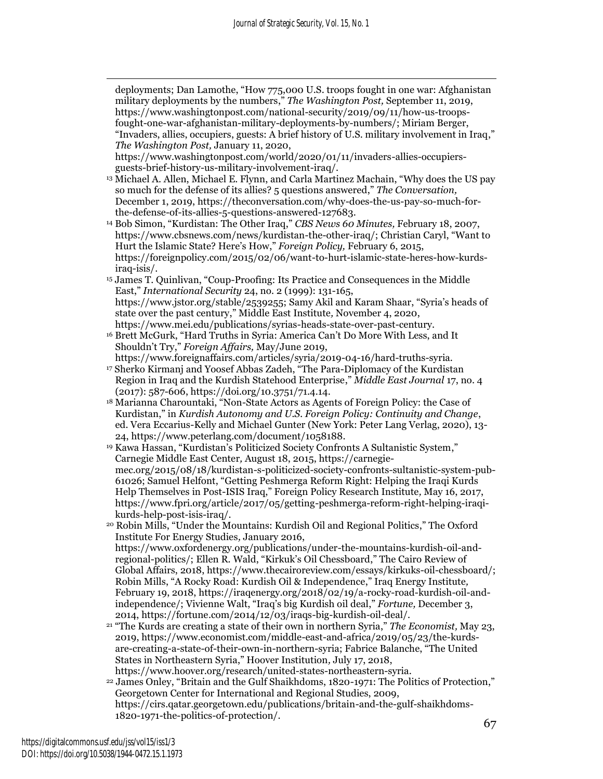deployments; Dan Lamothe, "How 775,000 U.S. troops fought in one war: Afghanistan military deployments by the numbers," *The Washington Post,* September 11, 2019, https://www.washingtonpost.com/national-security/2019/09/11/how-us-troopsfought-one-war-afghanistan-military-deployments-by-numbers/; Miriam Berger, "Invaders, allies, occupiers, guests: A brief history of U.S. military involvement in Iraq," *The Washington Post,* January 11, 2020,

https://www.washingtonpost.com/world/2020/01/11/invaders-allies-occupiersguests-brief-history-us-military-involvement-iraq/.

- <sup>13</sup> Michael A. Allen, Michael E. Flynn, and Carla Martinez Machain, "Why does the US pay so much for the defense of its allies? 5 questions answered," *The Conversation,*  December 1, 2019, https://theconversation.com/why-does-the-us-pay-so-much-forthe-defense-of-its-allies-5-questions-answered-127683.
- <sup>14</sup> Bob Simon, "Kurdistan: The Other Iraq," *CBS News 60 Minutes,* February 18, 2007, https://www.cbsnews.com/news/kurdistan-the-other-iraq/; Christian Caryl, "Want to Hurt the Islamic State? Here's How," *Foreign Policy,* February 6, 2015, https://foreignpolicy.com/2015/02/06/want-to-hurt-islamic-state-heres-how-kurdsiraq-isis/.
- <sup>15</sup> James T. Quinlivan, "Coup-Proofing: Its Practice and Consequences in the Middle East," *International Security* 24, no. 2 (1999): 131-165, https://www.jstor.org/stable/2539255; Samy Akil and Karam Shaar, "Syria's heads of state over the past century," Middle East Institute*,* November 4, 2020, https://www.mei.edu/publications/syrias-heads-state-over-past-century.
- <sup>16</sup> Brett McGurk, "Hard Truths in Syria: America Can't Do More With Less, and It Shouldn't Try," *Foreign Affairs,* May/June 2019,
- https://www.foreignaffairs.com/articles/syria/2019-04-16/hard-truths-syria. <sup>17</sup> Sherko Kirmanj and Yoosef Abbas Zadeh, "The Para-Diplomacy of the Kurdistan Region in Iraq and the Kurdish Statehood Enterprise," *Middle East Journal* 17, no. 4  $(2017)$ : 587-606, https://doi.org/10.3751/71.4.14.
- <sup>18</sup> Marianna Charountaki, "Non-State Actors as Agents of Foreign Policy: the Case of Kurdistan," in *Kurdish Autonomy and U.S. Foreign Policy: Continuity and Change*, ed. Vera Eccarius-Kelly and Michael Gunter (New York: Peter Lang Verlag, 2020), 13- 24, https://www.peterlang.com/document/1058188.
- <sup>19</sup> Kawa Hassan, "Kurdistan's Politicized Society Confronts A Sultanistic System," Carnegie Middle East Center*,* August 18, 2015, https://carnegiemec.org/2015/08/18/kurdistan-s-politicized-society-confronts-sultanistic-system-pub-61026; Samuel Helfont, "Getting Peshmerga Reform Right: Helping the Iraqi Kurds Help Themselves in Post-ISIS Iraq," Foreign Policy Research Institute*,* May 16, 2017, https://www.fpri.org/article/2017/05/getting-peshmerga-reform-right-helping-iraqikurds-help-post-isis-iraq/.
- <sup>20</sup> Robin Mills, "Under the Mountains: Kurdish Oil and Regional Politics," The Oxford Institute For Energy Studies*,* January 2016, https://www.oxfordenergy.org/publications/under-the-mountains-kurdish-oil-andregional-politics/; Ellen R. Wald, "Kirkuk's Oil Chessboard," The Cairo Review of Global Affairs, 2018, https://www.thecairoreview.com/essays/kirkuks-oil-chessboard/; Robin Mills, "A Rocky Road: Kurdish Oil & Independence," Iraq Energy Institute*,*  February 19, 2018, https://iraqenergy.org/2018/02/19/a-rocky-road-kurdish-oil-andindependence/; Vivienne Walt, "Iraq's big Kurdish oil deal," *Fortune,* December 3, 2014, https://fortune.com/2014/12/03/iraqs-big-kurdish-oil-deal/.
- <sup>21</sup> "The Kurds are creating a state of their own in northern Syria," *The Economist,* May 23, 2019, https://www.economist.com/middle-east-and-africa/2019/05/23/the-kurdsare-creating-a-state-of-their-own-in-northern-syria; Fabrice Balanche, "The United States in Northeastern Syria," Hoover Institution*,* July 17, 2018, https://www.hoover.org/research/united-states-northeastern-syria.
- <sup>22</sup> James Onley, "Britain and the Gulf Shaikhdoms, 1820-1971: The Politics of Protection," Georgetown Center for International and Regional Studies, 2009, https://cirs.qatar.georgetown.edu/publications/britain-and-the-gulf-shaikhdoms-1820-1971-the-politics-of-protection/.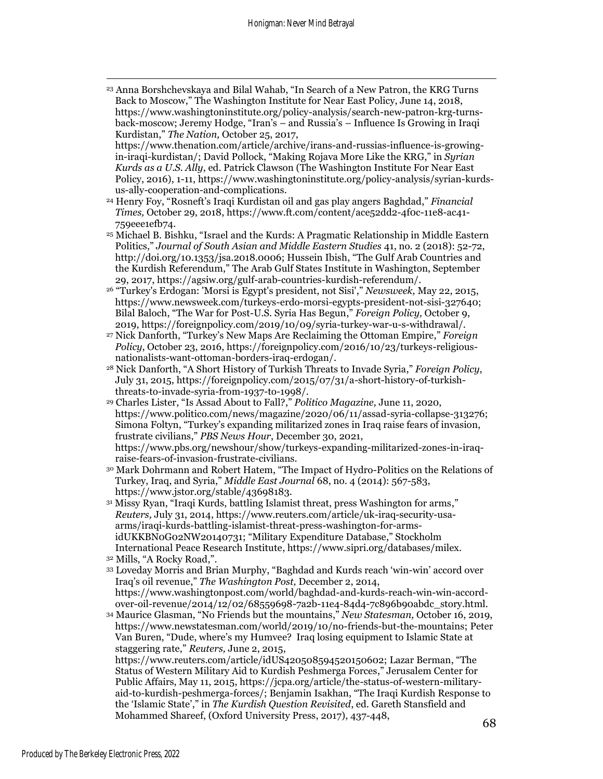- <sup>23</sup> Anna Borshchevskaya and Bilal Wahab, "In Search of a New Patron, the KRG Turns Back to Moscow," The Washington Institute for Near East Policy, June 14, 2018, https://www.washingtoninstitute.org/policy-analysis/search-new-patron-krg-turnsback-moscow; Jeremy Hodge, "Iran's – and Russia's – Influence Is Growing in Iraqi Kurdistan," *The Nation,* October 25, 2017,
- https://www.thenation.com/article/archive/irans-and-russias-influence-is-growingin-iraqi-kurdistan/; David Pollock, "Making Rojava More Like the KRG," in *Syrian Kurds as a U.S. Ally*, ed. Patrick Clawson (The Washington Institute For Near East Policy, 2016), 1-11, https://www.washingtoninstitute.org/policy-analysis/syrian-kurdsus-ally-cooperation-and-complications.
- <sup>24</sup> Henry Foy, "Rosneft's Iraqi Kurdistan oil and gas play angers Baghdad," *Financial Times,* October 29, 2018, https://www.ft.com/content/ace52dd2-4f0c-11e8-ac41- 759eee1efb74.
- <sup>25</sup> Michael B. Bishku, "Israel and the Kurds: A Pragmatic Relationship in Middle Eastern Politics," *Journal of South Asian and Middle Eastern Studies* 41, no. 2 (2018): 52-72, http://doi.org/10.1353/jsa.2018.0006; Hussein Ibish, "The Gulf Arab Countries and the Kurdish Referendum," The Arab Gulf States Institute in Washington, September 29, 2017, https://agsiw.org/gulf-arab-countries-kurdish-referendum/.
- <sup>26</sup> "Turkey's Erdogan: 'Morsi is Egypt's president, not Sisi'," *Newsweek,* May 22, 2015, https://www.newsweek.com/turkeys-erdo-morsi-egypts-president-not-sisi-327640; Bilal Baloch, "The War for Post-U.S. Syria Has Begun," *Foreign Policy,* October 9, 2019, https://foreignpolicy.com/2019/10/09/syria-turkey-war-u-s-withdrawal/.
- <sup>27</sup> Nick Danforth, "Turkey's New Maps Are Reclaiming the Ottoman Empire," *Foreign Policy*, October 23, 2016, https://foreignpolicy.com/2016/10/23/turkeys-religiousnationalists-want-ottoman-borders-iraq-erdogan/.
- <sup>28</sup> Nick Danforth, "A Short History of Turkish Threats to Invade Syria," *Foreign Policy*, July 31, 2015, https://foreignpolicy.com/2015/07/31/a-short-history-of-turkishthreats-to-invade-syria-from-1937-to-1998/.
- <sup>29</sup> Charles Lister, "Is Assad About to Fall?," *Politico Magazine,* June 11, 2020, https://www.politico.com/news/magazine/2020/06/11/assad-syria-collapse-313276; Simona Foltyn, "Turkey's expanding militarized zones in Iraq raise fears of invasion, frustrate civilians," *PBS News Hour*, December 30, 2021, https://www.pbs.org/newshour/show/turkeys-expanding-militarized-zones-in-iraqraise-fears-of-invasion-frustrate-civilians.
- <sup>30</sup> Mark Dohrmann and Robert Hatem, "The Impact of Hydro-Politics on the Relations of Turkey, Iraq, and Syria," *Middle East Journal* 68, no. 4 (2014): 567-583, https://www.jstor.org/stable/43698183.
- <sup>31</sup> Missy Ryan, "Iraqi Kurds, battling Islamist threat, press Washington for arms," *Reuters,* July 31, 2014, https://www.reuters.com/article/uk-iraq-security-usaarms/iraqi-kurds-battling-islamist-threat-press-washington-for-armsidUKKBN0G02NW20140731; "Military Expenditure Database," Stockholm International Peace Research Institute, https://www.sipri.org/databases/milex.
- <sup>32</sup> Mills, "A Rocky Road,".
- <sup>33</sup> Loveday Morris and Brian Murphy, "Baghdad and Kurds reach 'win-win' accord over Iraq's oil revenue," *The Washington Post,* December 2, 2014, https://www.washingtonpost.com/world/baghdad-and-kurds-reach-win-win-accordover-oil-revenue/2014/12/02/68559698-7a2b-11e4-84d4-7c896b90abdc\_story.html.
- <sup>34</sup> Maurice Glasman, "No Friends but the mountains," *New Statesman,* October 16, 2019, https://www.newstatesman.com/world/2019/10/no-friends-but-the-mountains; Peter Van Buren, "Dude, where's my Humvee? Iraq losing equipment to Islamic State at staggering rate," *Reuters,* June 2, 2015,

https://www.reuters.com/article/idUS420508594520150602; Lazar Berman, "The Status of Western Military Aid to Kurdish Peshmerga Forces," Jerusalem Center for Public Affairs, May 11, 2015, https://jcpa.org/article/the-status-of-western-militaryaid-to-kurdish-peshmerga-forces/; Benjamin Isakhan, "The Iraqi Kurdish Response to the 'Islamic State'," in *The Kurdish Question Revisited*, ed. Gareth Stansfield and Mohammed Shareef, (Oxford University Press, 2017), 437-448,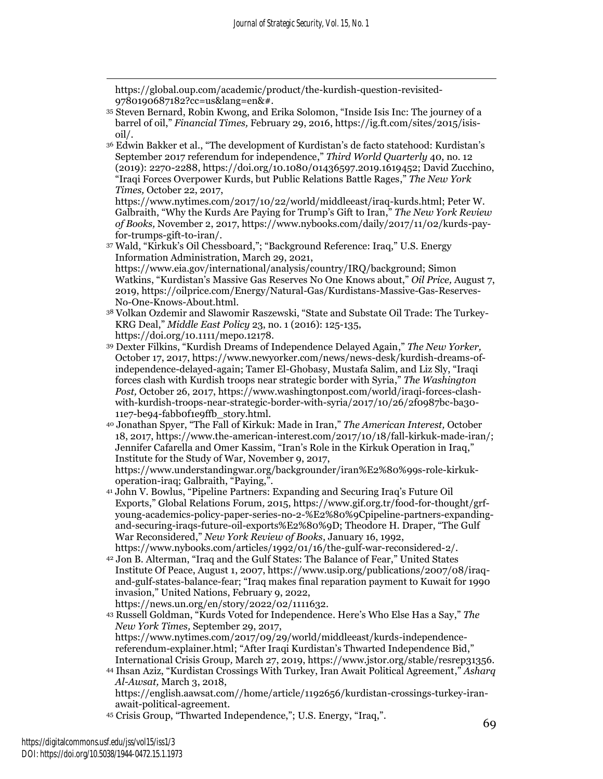https://global.oup.com/academic/product/the-kurdish-question-revisited-9780190687182?cc=us&lang=en&#.

- <sup>35</sup> Steven Bernard, Robin Kwong, and Erika Solomon, "Inside Isis Inc: The journey of a barrel of oil," *Financial Times,* February 29, 2016, https://ig.ft.com/sites/2015/isisoil/.
- <sup>36</sup> Edwin Bakker et al., "The development of Kurdistan's de facto statehood: Kurdistan's September 2017 referendum for independence," *Third World Quarterly* 40, no. 12 (2019): 2270-2288, https://doi.org/10.1080/01436597.2019.1619452; David Zucchino, "Iraqi Forces Overpower Kurds, but Public Relations Battle Rages," *The New York Times,* October 22, 2017,

https://www.nytimes.com/2017/10/22/world/middleeast/iraq-kurds.html; Peter W. Galbraith, "Why the Kurds Are Paying for Trump's Gift to Iran," *The New York Review of Books,* November 2, 2017, https://www.nybooks.com/daily/2017/11/02/kurds-payfor-trumps-gift-to-iran/.

- <sup>37</sup> Wald, "Kirkuk's Oil Chessboard,"; "Background Reference: Iraq," U.S. Energy Information Administration, March 29, 2021, https://www.eia.gov/international/analysis/country/IRQ/background; Simon Watkins, "Kurdistan's Massive Gas Reserves No One Knows about," *Oil Price,* August 7, 2019, https://oilprice.com/Energy/Natural-Gas/Kurdistans-Massive-Gas-Reserves-No-One-Knows-About.html.
- <sup>38</sup> Volkan Ozdemir and Slawomir Raszewski, "State and Substate Oil Trade: The Turkey-KRG Deal," *Middle East Policy* 23, no. 1 (2016): 125-135, https://doi.org/10.1111/mepo.12178.
- <sup>39</sup> Dexter Filkins, "Kurdish Dreams of Independence Delayed Again," *The New Yorker,*  October 17, 2017, https://www.newyorker.com/news/news-desk/kurdish-dreams-ofindependence-delayed-again; Tamer El-Ghobasy, Mustafa Salim, and Liz Sly, "Iraqi forces clash with Kurdish troops near strategic border with Syria," *The Washington Post,* October 26, 2017, https://www.washingtonpost.com/world/iraqi-forces-clashwith-kurdish-troops-near-strategic-border-with-syria/2017/10/26/2f0987bc-ba30- 11e7-be94-fabb0f1e9ffb\_story.html.
- <sup>40</sup> Jonathan Spyer, "The Fall of Kirkuk: Made in Iran," *The American Interest,* October 18, 2017, https://www.the-american-interest.com/2017/10/18/fall-kirkuk-made-iran/; Jennifer Cafarella and Omer Kassim, "Iran's Role in the Kirkuk Operation in Iraq," Institute for the Study of War*,* November 9, 2017, https://www.understandingwar.org/backgrounder/iran%E2%80%99s-role-kirkukoperation-iraq; Galbraith, "Paying,".
- <sup>41</sup> John V. Bowlus, "Pipeline Partners: Expanding and Securing Iraq's Future Oil Exports," Global Relations Forum*,* 2015, https://www.gif.org.tr/food-for-thought/grfyoung-academics-policy-paper-series-no-2-%E2%80%9Cpipeline-partners-expandingand-securing-iraqs-future-oil-exports%E2%80%9D; Theodore H. Draper, "The Gulf War Reconsidered," *New York Review of Books*, January 16, 1992, https://www.nybooks.com/articles/1992/01/16/the-gulf-war-reconsidered-2/.
- <sup>42</sup> Jon B. Alterman, "Iraq and the Gulf States: The Balance of Fear," United States Institute Of Peace, August 1, 2007, https://www.usip.org/publications/2007/08/iraqand-gulf-states-balance-fear; "Iraq makes final reparation payment to Kuwait for 1990 invasion," United Nations, February 9, 2022, https://news.un.org/en/story/2022/02/1111632.
- <sup>43</sup> Russell Goldman, "Kurds Voted for Independence. Here's Who Else Has a Say," *The New York Times,* September 29, 2017, https://www.nytimes.com/2017/09/29/world/middleeast/kurds-independencereferendum-explainer.html; "After Iraqi Kurdistan's Thwarted Independence Bid," International Crisis Group*,* March 27, 2019, https://www.jstor.org/stable/resrep31356.
- <sup>44</sup> Ihsan Aziz, "Kurdistan Crossings With Turkey, Iran Await Political Agreement," *Asharq Al-Awsat,* March 3, 2018, https://english.aawsat.com//home/article/1192656/kurdistan-crossings-turkey-iran-
- await-political-agreement. <sup>45</sup> Crisis Group, "Thwarted Independence,"; U.S. Energy, "Iraq,".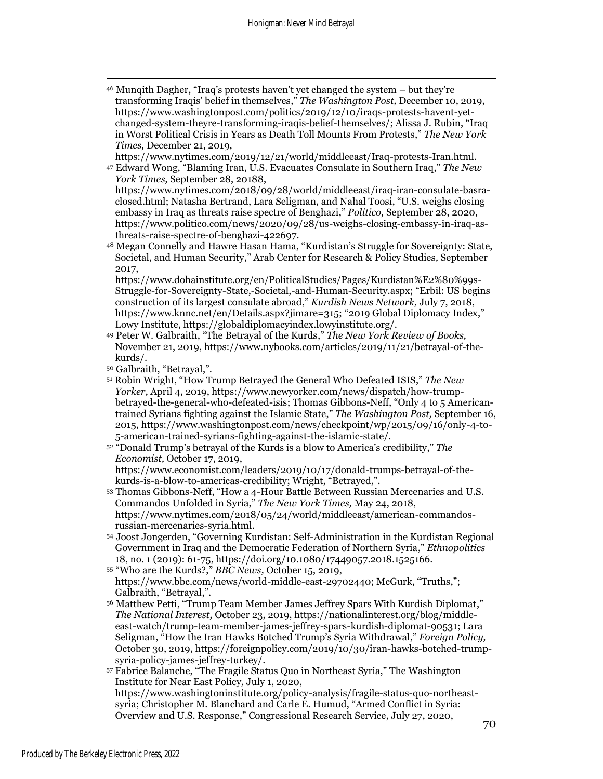<sup>46</sup> Munqith Dagher, "Iraq's protests haven't yet changed the system – but they're transforming Iraqis' belief in themselves," *The Washington Post,* December 10, 2019, https://www.washingtonpost.com/politics/2019/12/10/iraqs-protests-havent-yetchanged-system-theyre-transforming-iraqis-belief-themselves/; Alissa J. Rubin, "Iraq in Worst Political Crisis in Years as Death Toll Mounts From Protests," *The New York Times,* December 21, 2019,

https://www.nytimes.com/2019/12/21/world/middleeast/Iraq-protests-Iran.html.

<sup>47</sup> Edward Wong, "Blaming Iran, U.S. Evacuates Consulate in Southern Iraq," *The New York Times,* September 28, 20188,

https://www.nytimes.com/2018/09/28/world/middleeast/iraq-iran-consulate-basraclosed.html; Natasha Bertrand, Lara Seligman, and Nahal Toosi, "U.S. weighs closing embassy in Iraq as threats raise spectre of Benghazi," *Politico,* September 28, 2020, https://www.politico.com/news/2020/09/28/us-weighs-closing-embassy-in-iraq-asthreats-raise-spectre-of-benghazi-422697.

<sup>48</sup> Megan Connelly and Hawre Hasan Hama, "Kurdistan's Struggle for Sovereignty: State, Societal, and Human Security," Arab Center for Research & Policy Studies*,* September 2017,

https://www.dohainstitute.org/en/PoliticalStudies/Pages/Kurdistan%E2%80%99s-Struggle-for-Sovereignty-State,-Societal,-and-Human-Security.aspx; "Erbil: US begins construction of its largest consulate abroad," *Kurdish News Network,* July 7, 2018, https://www.knnc.net/en/Details.aspx?jimare=315; "2019 Global Diplomacy Index," Lowy Institute, https://globaldiplomacyindex.lowyinstitute.org/.

- <sup>49</sup> Peter W. Galbraith, "The Betrayal of the Kurds," *The New York Review of Books,*  November 21, 2019, https://www.nybooks.com/articles/2019/11/21/betrayal-of-thekurds/.
- <sup>50</sup> Galbraith, "Betrayal,".
- <sup>51</sup> Robin Wright, "How Trump Betrayed the General Who Defeated ISIS," *The New Yorker,* April 4, 2019, https://www.newyorker.com/news/dispatch/how-trumpbetrayed-the-general-who-defeated-isis; Thomas Gibbons-Neff, "Only 4 to 5 Americantrained Syrians fighting against the Islamic State," *The Washington Post,* September 16, 2015, https://www.washingtonpost.com/news/checkpoint/wp/2015/09/16/only-4-to-5-american-trained-syrians-fighting-against-the-islamic-state/.
- <sup>52</sup> "Donald Trump's betrayal of the Kurds is a blow to America's credibility," *The Economist,* October 17, 2019,

https://www.economist.com/leaders/2019/10/17/donald-trumps-betrayal-of-thekurds-is-a-blow-to-americas-credibility; Wright, "Betrayed,".

- <sup>53</sup> Thomas Gibbons-Neff, "How a 4-Hour Battle Between Russian Mercenaries and U.S. Commandos Unfolded in Syria," *The New York Times,* May 24, 2018, https://www.nytimes.com/2018/05/24/world/middleeast/american-commandosrussian-mercenaries-syria.html.
- <sup>54</sup> Joost Jongerden, "Governing Kurdistan: Self-Administration in the Kurdistan Regional Government in Iraq and the Democratic Federation of Northern Syria," *Ethnopolitics* 18, no. 1 (2019): 61-75, https://doi.org/10.1080/17449057.2018.1525166.
- <sup>55</sup> "Who are the Kurds?," *BBC News,* October 15, 2019, https://www.bbc.com/news/world-middle-east-29702440; McGurk, "Truths,"; Galbraith, "Betrayal,".
- <sup>56</sup> Matthew Petti, "Trump Team Member James Jeffrey Spars With Kurdish Diplomat," *The National Interest,* October 23, 2019, https://nationalinterest.org/blog/middleeast-watch/trump-team-member-james-jeffrey-spars-kurdish-diplomat-90531; Lara Seligman, "How the Iran Hawks Botched Trump's Syria Withdrawal," *Foreign Policy,*  October 30, 2019, https://foreignpolicy.com/2019/10/30/iran-hawks-botched-trumpsyria-policy-james-jeffrey-turkey/.
- <sup>57</sup> Fabrice Balanche, "The Fragile Status Quo in Northeast Syria," The Washington Institute for Near East Policy*,* July 1, 2020, https://www.washingtoninstitute.org/policy-analysis/fragile-status-quo-northeastsyria; Christopher M. Blanchard and Carle E. Humud, "Armed Conflict in Syria: Overview and U.S. Response," Congressional Research Service*,* July 27, 2020,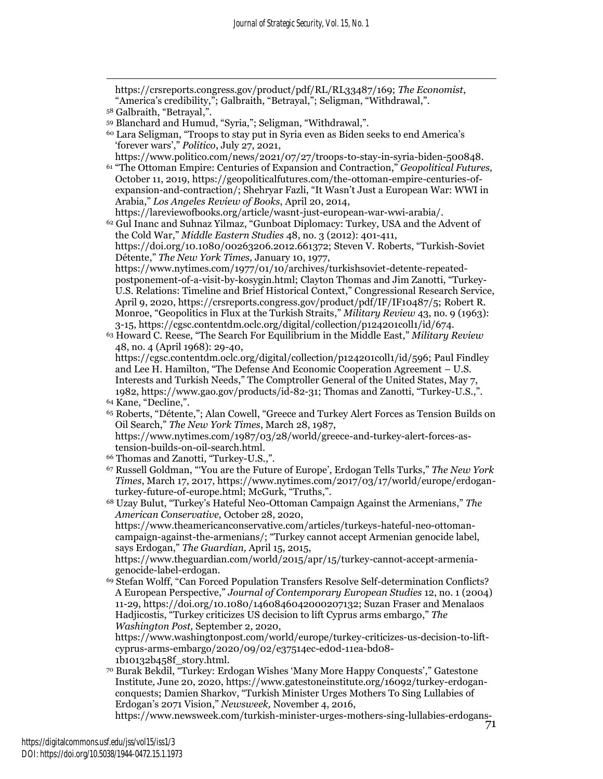https://crsreports.congress.gov/product/pdf/RL/RL33487/169; *The Economist*, "America's credibility,"; Galbraith, "Betrayal,"; Seligman, "Withdrawal,".

https://www.politico.com/news/2021/07/27/troops-to-stay-in-syria-biden-500848. <sup>61</sup> "The Ottoman Empire: Centuries of Expansion and Contraction," *Geopolitical Futures,*  October 11, 2019, https://geopoliticalfutures.com/the-ottoman-empire-centuries-ofexpansion-and-contraction/; Shehryar Fazli, "It Wasn't Just a European War: WWI in Arabia," *Los Angeles Review of Books*, April 20, 2014,

https://lareviewofbooks.org/article/wasnt-just-european-war-wwi-arabia/. <sup>62</sup> Gul Inanc and Suhnaz Yilmaz, "Gunboat Diplomacy: Turkey, USA and the Advent of the Cold War," *Middle Eastern Studies* 48, no. 3 (2012): 401-411, https://doi.org/10.1080/00263206.2012.661372; Steven V. Roberts, "Turkish-Soviet Détente," *The New York Times,* January 10, 1977, https://www.nytimes.com/1977/01/10/archives/turkishsoviet-detente-repeatedpostponement-of-a-visit-by-kosygin.html; Clayton Thomas and Jim Zanotti, "Turkey-U.S. Relations: Timeline and Brief Historical Context," Congressional Research Service, April 9, 2020, https://crsreports.congress.gov/product/pdf/IF/IF10487/5; Robert R. Monroe, "Geopolitics in Flux at the Turkish Straits," *Military Review* 43, no. 9 (1963): 3-15, https://cgsc.contentdm.oclc.org/digital/collection/p124201coll1/id/674.

<sup>63</sup> Howard C. Reese, "The Search For Equilibrium in the Middle East," *Military Review* 48, no. 4 (April 1968): 29-40, https://cgsc.contentdm.oclc.org/digital/collection/p124201coll1/id/596; Paul Findley and Lee H. Hamilton, "The Defense And Economic Cooperation Agreement – U.S. Interests and Turkish Needs," The Comptroller General of the United States, May 7, 1982, https://www.gao.gov/products/id-82-31; Thomas and Zanotti, "Turkey-U.S.,".

<sup>65</sup> Roberts, "Détente,"; Alan Cowell, "Greece and Turkey Alert Forces as Tension Builds on Oil Search," *The New York Times*, March 28, 1987,

https://www.nytimes.com/1987/03/28/world/greece-and-turkey-alert-forces-astension-builds-on-oil-search.html.

- <sup>66</sup> Thomas and Zanotti, "Turkey-U.S.,".
- <sup>67</sup> Russell Goldman, "'You are the Future of Europe', Erdogan Tells Turks," *The New York Times*, March 17, 2017, https://www.nytimes.com/2017/03/17/world/europe/erdoganturkey-future-of-europe.html; McGurk, "Truths,".

<sup>68</sup> Uzay Bulut, "Turkey's Hateful Neo-Ottoman Campaign Against the Armenians," *The American Conservative,* October 28, 2020,

https://www.theamericanconservative.com/articles/turkeys-hateful-neo-ottomancampaign-against-the-armenians/; "Turkey cannot accept Armenian genocide label, says Erdogan," *The Guardian,* April 15, 2015,

https://www.theguardian.com/world/2015/apr/15/turkey-cannot-accept-armeniagenocide-label-erdogan.

<sup>69</sup> Stefan Wolff, "Can Forced Population Transfers Resolve Self-determination Conflicts? A European Perspective," *Journal of Contemporary European Studies* 12, no. 1 (2004) 11-29, https://doi.org/10.1080/1460846042000207132; Suzan Fraser and Menalaos Hadjicostis, "Turkey criticizes US decision to lift Cyprus arms embargo," *The Washington Post,* September 2, 2020,

https://www.washingtonpost.com/world/europe/turkey-criticizes-us-decision-to-liftcyprus-arms-embargo/2020/09/02/e37514ec-ed0d-11ea-bd08- 1b10132b458f\_story.html.

<sup>70</sup> Burak Bekdil, "Turkey: Erdogan Wishes 'Many More Happy Conquests'," Gatestone Institute*,* June 20, 2020, https://www.gatestoneinstitute.org/16092/turkey-erdoganconquests; Damien Sharkov, "Turkish Minister Urges Mothers To Sing Lullabies of Erdogan's 2071 Vision," *Newsweek,* November 4, 2016,

https://www.newsweek.com/turkish-minister-urges-mothers-sing-lullabies-erdogans-

<sup>58</sup> Galbraith, "Betrayal,".

<sup>59</sup> Blanchard and Humud, "Syria,"; Seligman, "Withdrawal,".

<sup>60</sup> Lara Seligman, "Troops to stay put in Syria even as Biden seeks to end America's 'forever wars'," *Politico*, July 27, 2021,

<sup>64</sup> Kane, "Decline,".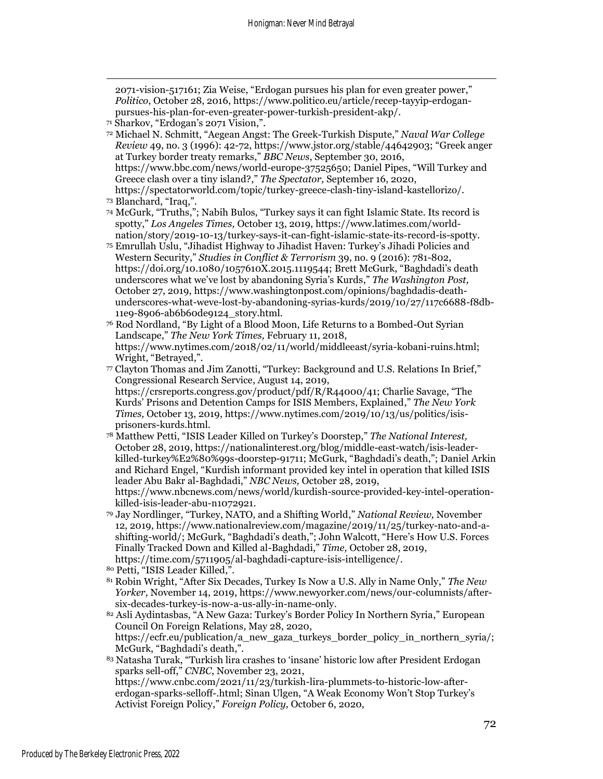2071-vision-517161; Zia Weise, "Erdogan pursues his plan for even greater power," *Politico*, October 28, 2016, https://www.politico.eu/article/recep-tayyip-erdoganpursues-his-plan-for-even-greater-power-turkish-president-akp/.

<sup>72</sup> Michael N. Schmitt, "Aegean Angst: The Greek-Turkish Dispute," *Naval War College Review* 49, no. 3 (1996): 42-72, https://www.jstor.org/stable/44642903; "Greek anger at Turkey border treaty remarks," *BBC News*, September 30, 2016, https://www.bbc.com/news/world-europe-37525650; Daniel Pipes, "Will Turkey and Greece clash over a tiny island?," *The Spectator,* September 16, 2020, https://spectatorworld.com/topic/turkey-greece-clash-tiny-island-kastellorizo/.

<sup>74</sup> McGurk, "Truths,"; Nabih Bulos, "Turkey says it can fight Islamic State. Its record is spotty," *Los Angeles Times,* October 13, 2019, https://www.latimes.com/worldnation/story/2019-10-13/turkey-says-it-can-fight-islamic-state-its-record-is-spotty.

- <sup>75</sup> Emrullah Uslu, "Jihadist Highway to Jihadist Haven: Turkey's Jihadi Policies and Western Security," *Studies in Conflict & Terrorism* 39, no. 9 (2016): 781-802, https://doi.org/10.1080/1057610X.2015.1119544; Brett McGurk, "Baghdadi's death underscores what we've lost by abandoning Syria's Kurds," *The Washington Post,*  October 27, 2019, https://www.washingtonpost.com/opinions/baghdadis-deathunderscores-what-weve-lost-by-abandoning-syrias-kurds/2019/10/27/117c6688-f8db-11e9-8906-ab6b60de9124\_story.html.
- <sup>76</sup> Rod Nordland, "By Light of a Blood Moon, Life Returns to a Bombed-Out Syrian Landscape," *The New York Times,* February 11, 2018, https://www.nytimes.com/2018/02/11/world/middleeast/syria-kobani-ruins.html; Wright, "Betrayed,".
- <sup>77</sup> Clayton Thomas and Jim Zanotti, "Turkey: Background and U.S. Relations In Brief," Congressional Research Service, August 14, 2019, https://crsreports.congress.gov/product/pdf/R/R44000/41; Charlie Savage, "The Kurds' Prisons and Detention Camps for ISIS Members, Explained," *The New York*

*Times,* October 13, 2019, https://www.nytimes.com/2019/10/13/us/politics/isisprisoners-kurds.html.

- <sup>78</sup> Matthew Petti, "ISIS Leader Killed on Turkey's Doorstep," *The National Interest,*  October 28, 2019, https://nationalinterest.org/blog/middle-east-watch/isis-leaderkilled-turkey%E2%80%99s-doorstep-91711; McGurk, "Baghdadi's death,"; Daniel Arkin and Richard Engel, "Kurdish informant provided key intel in operation that killed ISIS leader Abu Bakr al-Baghdadi," *NBC News,* October 28, 2019, https://www.nbcnews.com/news/world/kurdish-source-provided-key-intel-operation-
- killed-isis-leader-abu-n1072921. <sup>79</sup> Jay Nordlinger, "Turkey, NATO, and a Shifting World," *National Review,* November 12, 2019, https://www.nationalreview.com/magazine/2019/11/25/turkey-nato-and-ashifting-world/; McGurk, "Baghdadi's death,"; John Walcott, "Here's How U.S. Forces Finally Tracked Down and Killed al-Baghdadi," *Time,* October 28, 2019, https://time.com/5711905/al-baghdadi-capture-isis-intelligence/.
- <sup>80</sup> Petti, "ISIS Leader Killed,".
- <sup>81</sup> Robin Wright, "After Six Decades, Turkey Is Now a U.S. Ally in Name Only," *The New Yorker,* November 14, 2019, https://www.newyorker.com/news/our-columnists/aftersix-decades-turkey-is-now-a-us-ally-in-name-only.

<sup>82</sup> Asli Aydintasbas, "A New Gaza: Turkey's Border Policy In Northern Syria," European Council On Foreign Relations*,* May 28, 2020,

https://ecfr.eu/publication/a\_new\_gaza\_turkeys\_border\_policy\_in\_northern\_syria/; McGurk, "Baghdadi's death,".

<sup>83</sup> Natasha Turak, "Turkish lira crashes to 'insane' historic low after President Erdogan sparks sell-off," *CNBC*, November 23, 2021,

https://www.cnbc.com/2021/11/23/turkish-lira-plummets-to-historic-low-aftererdogan-sparks-selloff-.html; Sinan Ulgen, "A Weak Economy Won't Stop Turkey's Activist Foreign Policy," *Foreign Policy,* October 6, 2020,

<sup>71</sup> Sharkov, "Erdogan's 2071 Vision,".

<sup>73</sup> Blanchard, "Iraq,".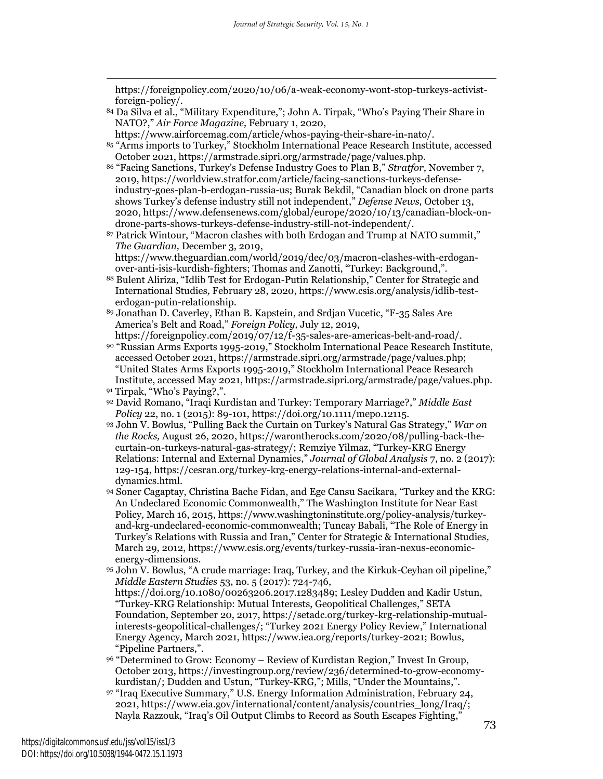https://foreignpolicy.com/2020/10/06/a-weak-economy-wont-stop-turkeys-activistforeign-policy/.

- <sup>84</sup> Da Silva et al., "Military Expenditure,"; John A. Tirpak, "Who's Paying Their Share in NATO?," *Air Force Magazine,* February 1, 2020,
- https://www.airforcemag.com/article/whos-paying-their-share-in-nato/.
- <sup>85</sup> "Arms imports to Turkey," Stockholm International Peace Research Institute*,* accessed October 2021, https://armstrade.sipri.org/armstrade/page/values.php.
- <sup>86</sup> "Facing Sanctions, Turkey's Defense Industry Goes to Plan B," *Stratfor,* November 7, 2019, https://worldview.stratfor.com/article/facing-sanctions-turkeys-defenseindustry-goes-plan-b-erdogan-russia-us; Burak Bekdil, "Canadian block on drone parts shows Turkey's defense industry still not independent," *Defense News,* October 13, 2020, https://www.defensenews.com/global/europe/2020/10/13/canadian-block-ondrone-parts-shows-turkeys-defense-industry-still-not-independent/.
- <sup>87</sup> Patrick Wintour, "Macron clashes with both Erdogan and Trump at NATO summit," *The Guardian,* December 3, 2019, https://www.theguardian.com/world/2019/dec/03/macron-clashes-with-erdogan-
- over-anti-isis-kurdish-fighters; Thomas and Zanotti, "Turkey: Background,". <sup>88</sup> Bulent Aliriza, "Idlib Test for Erdogan-Putin Relationship," Center for Strategic and
- International Studies*,* February 28, 2020, https://www.csis.org/analysis/idlib-testerdogan-putin-relationship.
- <sup>89</sup> Jonathan D. Caverley, Ethan B. Kapstein, and Srdjan Vucetic, "F-35 Sales Are America's Belt and Road," *Foreign Policy,* July 12, 2019,
- https://foreignpolicy.com/2019/07/12/f-35-sales-are-americas-belt-and-road/. <sup>90</sup> "Russian Arms Exports 1995-2019," Stockholm International Peace Research Institute, accessed October 2021, https://armstrade.sipri.org/armstrade/page/values.php; "United States Arms Exports 1995-2019," Stockholm International Peace Research Institute, accessed May 2021, https://armstrade.sipri.org/armstrade/page/values.php. <sup>91</sup> Tirpak, "Who's Paying?,".
- <sup>92</sup> David Romano, "Iraqi Kurdistan and Turkey: Temporary Marriage?," *Middle East Policy* 22, no. 1 (2015): 89-101, https://doi.org/10.1111/mepo.12115.
- <sup>93</sup> John V. Bowlus, "Pulling Back the Curtain on Turkey's Natural Gas Strategy," *War on the Rocks,* August 26, 2020, https://warontherocks.com/2020/08/pulling-back-thecurtain-on-turkeys-natural-gas-strategy/; Remziye Yilmaz, "Turkey-KRG Energy Relations: Internal and External Dynamics," *Journal of Global Analysis* 7, no. 2 (2017): 129-154, https://cesran.org/turkey-krg-energy-relations-internal-and-externaldynamics.html.
- <sup>94</sup> Soner Cagaptay, Christina Bache Fidan, and Ege Cansu Sacikara, "Turkey and the KRG: An Undeclared Economic Commonwealth," The Washington Institute for Near East Policy*,* March 16, 2015, https://www.washingtoninstitute.org/policy-analysis/turkeyand-krg-undeclared-economic-commonwealth; Tuncay Babali, "The Role of Energy in Turkey's Relations with Russia and Iran," Center for Strategic & International Studies*,*  March 29, 2012, https://www.csis.org/events/turkey-russia-iran-nexus-economicenergy-dimensions.
- <sup>95</sup> John V. Bowlus, "A crude marriage: Iraq, Turkey, and the Kirkuk-Ceyhan oil pipeline," *Middle Eastern Studies* 53, no. 5 (2017): 724-746, https://doi.org/10.1080/00263206.2017.1283489; Lesley Dudden and Kadir Ustun, "Turkey-KRG Relationship: Mutual Interests, Geopolitical Challenges," SETA Foundation*,* September 20, 2017, https://setadc.org/turkey-krg-relationship-mutualinterests-geopolitical-challenges/; "Turkey 2021 Energy Policy Review," International Energy Agency, March 2021, https://www.iea.org/reports/turkey-2021; Bowlus, "Pipeline Partners,".
- <sup>96</sup> "Determined to Grow: Economy Review of Kurdistan Region," Invest In Group, October 2013, https://investingroup.org/review/236/determined-to-grow-economykurdistan/; Dudden and Ustun, "Turkey-KRG,"; Mills, "Under the Mountains,".
- <sup>97</sup> "Iraq Executive Summary," U.S. Energy Information Administration, February 24, 2021, https://www.eia.gov/international/content/analysis/countries\_long/Iraq/; Nayla Razzouk, "Iraq's Oil Output Climbs to Record as South Escapes Fighting,"